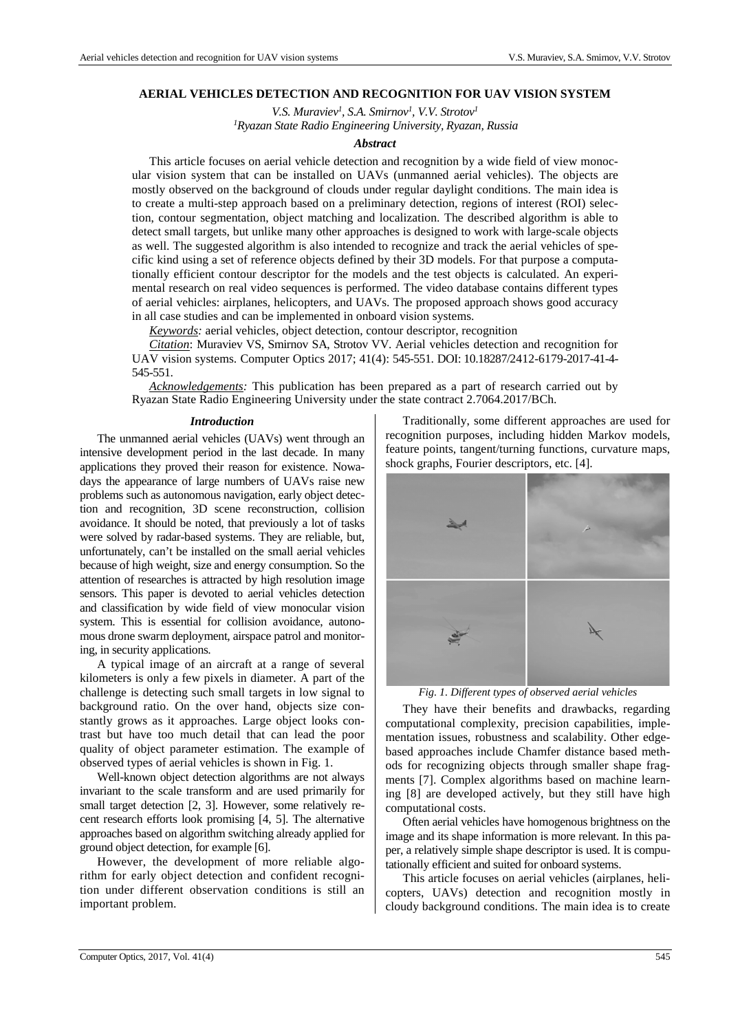## **AERIAL VEHICLES DETECTION AND RECOGNITION FOR UAV VISION SYSTEM**

*V.S. Muraviev<sup>1</sup> , S.A. Smirnov<sup>1</sup> , V.V. Strotov<sup>1</sup> <sup>1</sup>Ryazan State Radio Engineering University, Ryazan, Russia*

## *Abstract*

This article focuses on aerial vehicle detection and recognition by a wide field of view monocular vision system that can be installed on UAVs (unmanned aerial vehicles). The objects are mostly observed on the background of clouds under regular daylight conditions. The main idea is to create a multi-step approach based on a preliminary detection, regions of interest (ROI) selection, contour segmentation, object matching and localization. The described algorithm is able to detect small targets, but unlike many other approaches is designed to work with large-scale objects as well. The suggested algorithm is also intended to recognize and track the aerial vehicles of specific kind using a set of reference objects defined by their 3D models. For that purpose a computationally efficient contour descriptor for the models and the test objects is calculated. An experimental research on real video sequences is performed. The video database contains different types of aerial vehicles: airplanes, helicopters, and UAVs. The proposed approach shows good accuracy in all case studies and can be implemented in onboard vision systems.

*Keywords:* aerial vehicles, object detection, contour descriptor, recognition

*Citation*: Muraviev VS, Smirnov SA, Strotov VV. Aerial vehicles detection and recognition for UAV vision systems. Computer Optics 2017; 41(4): 545-551. DOI: 10.18287/2412-6179-2017-41-4- 545-551.

*Acknowledgements:* This publication has been prepared as a part of research carried out by Ryazan State Radio Engineering University under the state contract 2.7064.2017/BCh.

#### *Introduction*

The unmanned aerial vehicles (UAVs) went through an intensive development period in the last decade. In many applications they proved their reason for existence. Nowadays the appearance of large numbers of UAVs raise new problems such as autonomous navigation, early object detection and recognition, 3D scene reconstruction, collision avoidance. It should be noted, that previously a lot of tasks were solved by radar-based systems. They are reliable, but, unfortunately, can't be installed on the small aerial vehicles because of high weight, size and energy consumption. So the attention of researches is attracted by high resolution image sensors. This paper is devoted to aerial vehicles detection and classification by wide field of view monocular vision system. This is essential for collision avoidance, autonomous drone swarm deployment, airspace patrol and monitoring, in security applications.

A typical image of an aircraft at a range of several kilometers is only a few pixels in diameter. A part of the challenge is detecting such small targets in low signal to background ratio. On the over hand, objects size constantly grows as it approaches. Large object looks contrast but have too much detail that can lead the poor quality of object parameter estimation. The example of observed types of aerial vehicles is shown in Fig. 1.

Well-known object detection algorithms are not always invariant to the scale transform and are used primarily for small target detection [2, 3]. However, some relatively recent research efforts look promising [4, 5]. The alternative approaches based on algorithm switching already applied for ground object detection, for example [6].

However, the development of more reliable algorithm for early object detection and confident recognition under different observation conditions is still an important problem.

Traditionally, some different approaches are used for recognition purposes, including hidden Markov models, feature points, tangent/turning functions, curvature maps, shock graphs, Fourier descriptors, etc. [4].



*Fig. 1. Different types of observed aerial vehicles*

They have their benefits and drawbacks, regarding computational complexity, precision capabilities, implementation issues, robustness and scalability. Other edgebased approaches include Chamfer distance based methods for recognizing objects through smaller shape fragments [7]. Complex algorithms based on machine learning [8] are developed actively, but they still have high computational costs.

Often aerial vehicles have homogenous brightness on the image and its shape information is more relevant. In this paper, a relatively simple shape descriptor is used. It is computationally efficient and suited for onboard systems.

This article focuses on aerial vehicles (airplanes, helicopters, UAVs) detection and recognition mostly in cloudy background conditions. The main idea is to create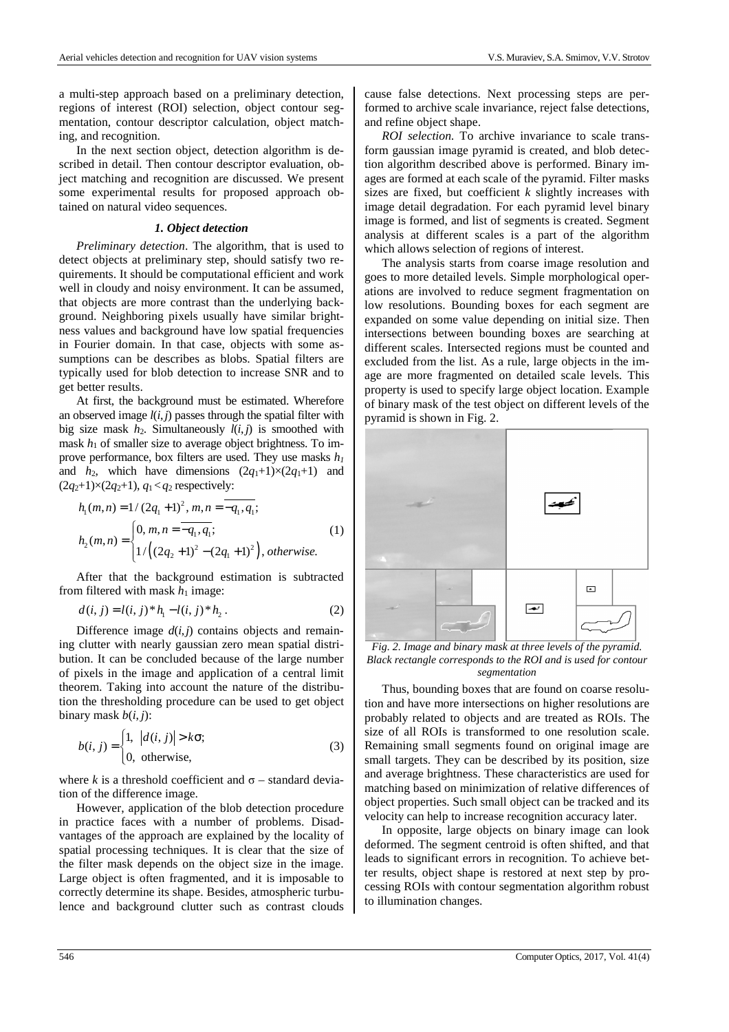a multi-step approach based on a preliminary detection, regions of interest (ROI) selection, object contour segmentation, contour descriptor calculation, object matching, and recognition.

In the next section object, detection algorithm is described in detail. Then contour descriptor evaluation, object matching and recognition are discussed. We present some experimental results for proposed approach obtained on natural video sequences.

### *1. Object detection*

*Preliminary detection*. The algorithm, that is used to detect objects at preliminary step, should satisfy two requirements. It should be computational efficient and work well in cloudy and noisy environment. It can be assumed, that objects are more contrast than the underlying background. Neighboring pixels usually have similar brightness values and background have low spatial frequencies in Fourier domain. In that case, objects with some assumptions can be describes as blobs. Spatial filters are typically used for blob detection to increase SNR and to get better results.

At first, the background must be estimated. Wherefore an observed image  $l(i, j)$  passes through the spatial filter with big size mask  $h_2$ . Simultaneously  $l(i, j)$  is smoothed with mask  $h_1$  of smaller size to average object brightness. To improve performance, box filters are used. They use masks *h<sup>1</sup>* and  $h_2$ , which have dimensions  $(2q_1+1)\times(2q_1+1)$  and  $(2q_2+1)\times(2q_2+1), q_1 < q_2$  respectively:

$$
h_1(m,n) = 1/(2q_1+1)^2, m,n = -q_1, q_1;
$$
  
\n
$$
h_2(m,n) = \begin{cases} 0, m,n = -q_1, q_1; \\ 1/((2q_2+1)^2 - (2q_1+1)^2), \text{ otherwise.} \end{cases}
$$
\n(1)

After that the background estimation is subtracted from filtered with mask  $h_1$  image:

$$
d(i, j) = l(i, j) * h_1 - l(i, j) * h_2.
$$
 (2)

Difference image  $d(i, j)$  contains objects and remaining clutter with nearly gaussian zero mean spatial distribution. It can be concluded because of the large number of pixels in the image and application of a central limit theorem. Taking into account the nature of the distribution the thresholding procedure can be used to get object binary mask  $b(i, j)$ :

$$
b(i, j) = \begin{cases} 1, & |d(i, j)| > k\sigma; \\ 0, & \text{otherwise,} \end{cases}
$$
 (3)

where  $k$  is a threshold coefficient and  $\sigma$  – standard deviation of the difference image.

However, application of the blob detection procedure in practice faces with a number of problems. Disadvantages of the approach are explained by the locality of spatial processing techniques. It is clear that the size of the filter mask depends on the object size in the image. Large object is often fragmented, and it is imposable to correctly determine its shape. Besides, atmospheric turbulence and background clutter such as contrast clouds cause false detections. Next processing steps are performed to archive scale invariance, reject false detections, and refine object shape.

*ROI selection.* To archive invariance to scale transform gaussian image pyramid is created, and blob detection algorithm described above is performed. Binary images are formed at each scale of the pyramid. Filter masks sizes are fixed, but coefficient *k* slightly increases with image detail degradation. For each pyramid level binary image is formed, and list of segments is created. Segment analysis at different scales is a part of the algorithm which allows selection of regions of interest.

The analysis starts from coarse image resolution and goes to more detailed levels. Simple morphological operations are involved to reduce segment fragmentation on low resolutions. Bounding boxes for each segment are expanded on some value depending on initial size. Then intersections between bounding boxes are searching at different scales. Intersected regions must be counted and excluded from the list. As a rule, large objects in the image are more fragmented on detailed scale levels. This property is used to specify large object location. Example of binary mask of the test object on different levels of the pyramid is shown in Fig. 2.



*Fig. 2. Image and binary mask at three levels of the pyramid. Black rectangle corresponds to the ROI and is used for contour segmentation* 

Thus, bounding boxes that are found on coarse resolution and have more intersections on higher resolutions are probably related to objects and are treated as ROIs. The size of all ROIs is transformed to one resolution scale. Remaining small segments found on original image are small targets. They can be described by its position, size and average brightness. These characteristics are used for matching based on minimization of relative differences of object properties. Such small object can be tracked and its velocity can help to increase recognition accuracy later.

In opposite, large objects on binary image can look deformed. The segment centroid is often shifted, and that leads to significant errors in recognition. To achieve better results, object shape is restored at next step by processing ROIs with contour segmentation algorithm robust to illumination changes.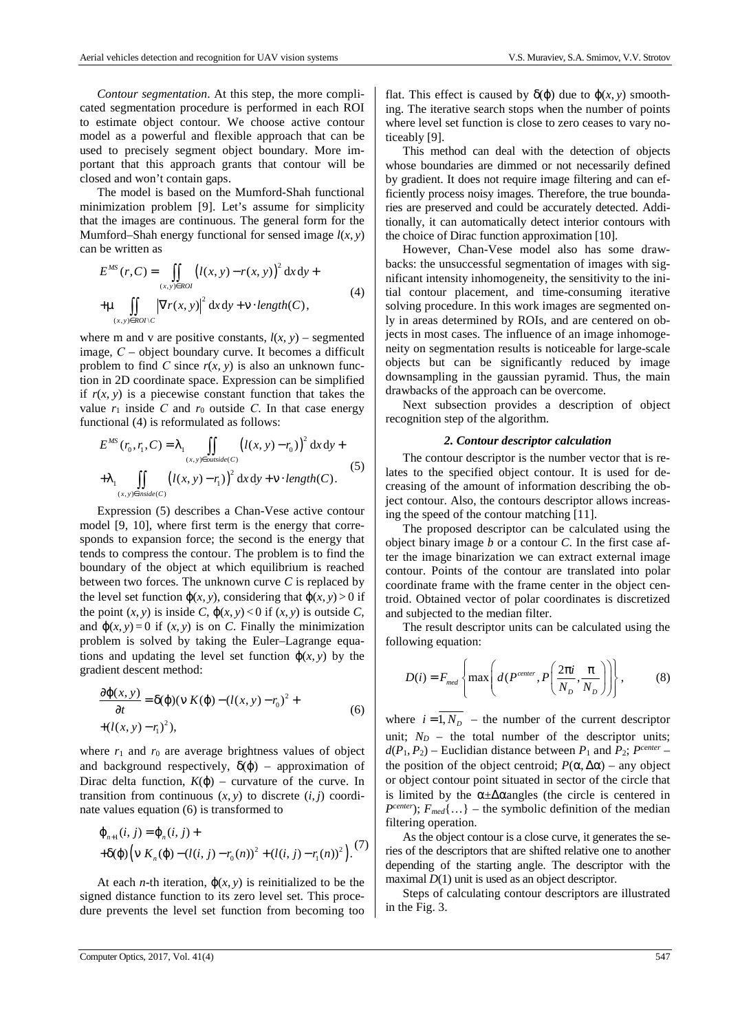*Contour segmentation*. At this step, the more complicated segmentation procedure is performed in each ROI to estimate object contour. We choose active contour model as a powerful and flexible approach that can be used to precisely segment object boundary. More important that this approach grants that contour will be closed and won't contain gaps.

The model is based on the Mumford-Shah functional minimization problem [9]. Let's assume for simplicity that the images are continuous. The general form for the Mumford–Shah energy functional for sensed image  $l(x, y)$ can be written as

$$
E^{MS}(r, C) = \iint\limits_{(x, y) \in ROI} (l(x, y) - r(x, y))^{2} dx dy +
$$
  
+ 
$$
\mu \iint\limits_{(x, y) \in ROI \setminus C} |\nabla r(x, y)|^{2} dx dy + v \cdot length(C),
$$
 (4)

where m and v are positive constants,  $l(x, y)$  – segmented image, *С* – object boundary curve. It becomes a difficult problem to find *C* since  $r(x, y)$  is also an unknown function in 2D coordinate space. Expression can be simplified if  $r(x, y)$  is a piecewise constant function that takes the value  $r_1$  inside C and  $r_0$  outside C. In that case energy functional (4) is reformulated as follows:

$$
E^{MS}(r_0, r_1, C) = \lambda_1 \iint\limits_{(x, y) \in \text{outside}(C)} (l(x, y) - r_0)^2 dx dy +
$$
  
+ 
$$
\lambda_1 \iint\limits_{(x, y) \in \text{inside}(C)} (l(x, y) - r_1)^2 dx dy + v \cdot \text{length}(C).
$$
 (5)

Expression (5) describes a Chan-Vese active contour model [9, 10], where first term is the energy that corresponds to expansion force; the second is the energy that tends to compress the contour. The problem is to find the boundary of the object at which equilibrium is reached between two forces. The unknown curve *C* is replaced by the level set function  $\varphi(x, y)$ , considering that  $\varphi(x, y) > 0$  if the point  $(x, y)$  is inside *C*,  $\phi(x, y) < 0$  if  $(x, y)$  is outside *C*, and  $\phi(x, y) = 0$  if  $(x, y)$  is on *C*. Finally the minimization problem is solved by taking the Euler–Lagrange equations and updating the level set function  $\varphi(x, y)$  by the gradient descent method:

$$
\frac{\partial \varphi(x, y)}{\partial t} = \delta(\varphi)(\nu K(\varphi) - (l(x, y) - r_0)^2 +
$$
  
+(l(x, y) - r<sub>1</sub>)<sup>2</sup>), (6)

where  $r_1$  and  $r_0$  are average brightness values of object and background respectively,  $\delta(\varphi)$  – approximation of Dirac delta function,  $K(\varphi)$  – curvature of the curve. In transition from continuous  $(x, y)$  to discrete  $(i, j)$  coordinate values equation (6) is transformed to

$$
\varphi_{n+1}(i, j) = \varphi_n(i, j) +
$$
  
+
$$
\delta(\varphi) \Big( \nu K_n(\varphi) - (l(i, j) - r_0(n))^2 + (l(i, j) - r_1(n))^2 \Big).
$$
 (7)

At each *n*-th iteration,  $\varphi(x, y)$  is reinitialized to be the signed distance function to its zero level set. This procedure prevents the level set function from becoming too flat. This effect is caused by  $\delta(\varphi)$  due to  $\varphi(x, y)$  smoothing. The iterative search stops when the number of points where level set function is close to zero ceases to vary noticeably [9].

This method can deal with the detection of objects whose boundaries are dimmed or not necessarily defined by gradient. It does not require image filtering and can efficiently process noisy images. Therefore, the true boundaries are preserved and could be accurately detected. Additionally, it can automatically detect interior contours with the choice of Dirac function approximation [10].

However, Chan-Vese model also has some drawbacks: the unsuccessful segmentation of images with significant intensity inhomogeneity, the sensitivity to the initial contour placement, and time-consuming iterative solving procedure. In this work images are segmented only in areas determined by ROIs, and are centered on objects in most cases. The influence of an image inhomogeneity on segmentation results is noticeable for large-scale objects but can be significantly reduced by image downsampling in the gaussian pyramid. Thus, the main drawbacks of the approach can be overcome.

Next subsection provides a description of object recognition step of the algorithm.

### *2. Contour descriptor calculation*

The contour descriptor is the number vector that is relates to the specified object contour. It is used for decreasing of the amount of information describing the object contour. Also, the contours descriptor allows increasing the speed of the contour matching [11].

The proposed descriptor can be calculated using the object binary image *b* or a contour *C*. In the first case after the image binarization we can extract external image contour. Points of the contour are translated into polar coordinate frame with the frame center in the object centroid. Obtained vector of polar coordinates is discretized and subjected to the median filter.

The result descriptor units can be calculated using the following equation:

$$
D(i) = F_{med} \left\{ \max \left( d(P^{center}, P\left(\frac{2\pi i}{N_D}, \frac{\pi}{N_D}\right) \right) \right\},\tag{8}
$$

where  $i = 1, N<sub>D</sub>$  – the number of the current descriptor unit;  $N_D$  – the total number of the descriptor units;  $d(P_1, P_2)$  – Euclidian distance between  $P_1$  and  $P_2$ ;  $P^{center}$  – the position of the object centroid;  $P$ (α,  $\Delta$ α) – any object or object contour point situated in sector of the circle that is limited by the  $\alpha \pm \Delta \alpha$  angles (the circle is centered in  $P^{center}$ ;  $F_{med}$ {…} – the symbolic definition of the median filtering operation.

As the object contour is a close curve, it generates the series of the descriptors that are shifted relative one to another depending of the starting angle. The descriptor with the maximal  $D(1)$  unit is used as an object descriptor.

Steps of calculating contour descriptors are illustrated in the Fig. 3.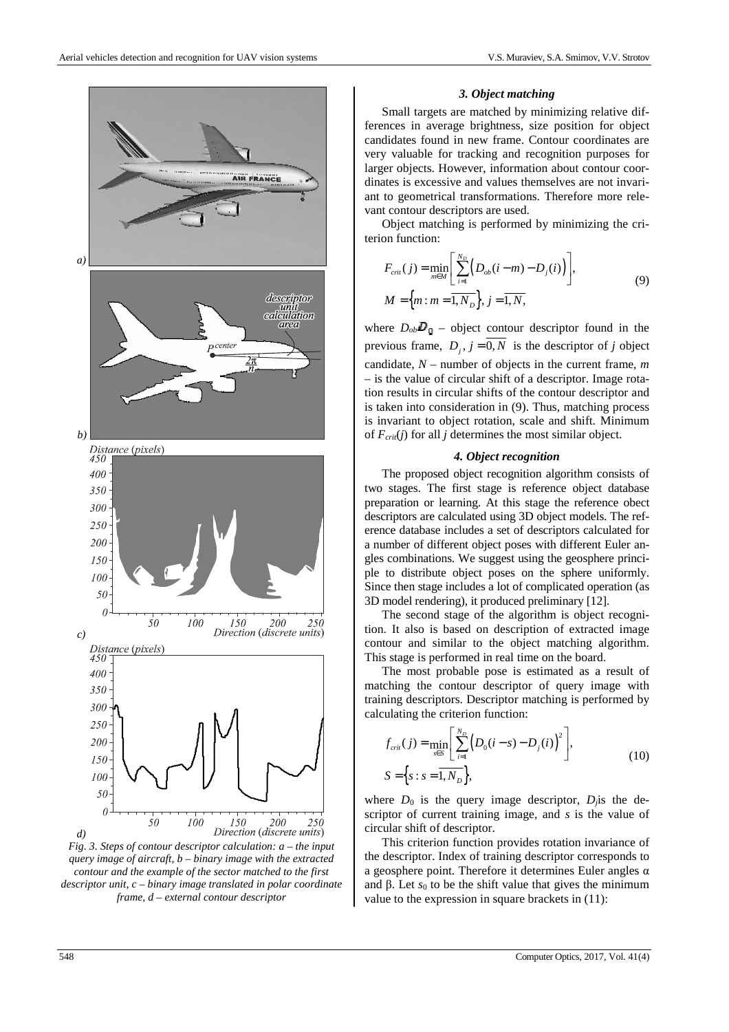

*Fig. 3. Steps of contour descriptor calculation: a – the input query image of aircraft, b – binary image with the extracted contour and the example of the sector matched to the first descriptor unit, c – binary image translated in polar coordinate frame, d – external contour descriptor* 

#### *3. Object matching*

Small targets are matched by minimizing relative differences in average brightness, size position for object candidates found in new frame. Contour coordinates are very valuable for tracking and recognition purposes for larger objects. However, information about contour coordinates is excessive and values themselves are not invariant to geometrical transformations. Therefore more relevant contour descriptors are used.

Object matching is performed by minimizing the criterion function:

$$
F_{\text{crit}}(j) = \min_{m \in M} \left[ \sum_{i=1}^{N_D} \left( D_{\text{ob}}(i-m) - D_j(i) \right) \right],
$$
  
\n
$$
M = \left\{ m : m = \overline{1, N_D} \right\}, j = \overline{1, N},
$$
\n(9)

where  $D_{ob}D_0$  – object contour descriptor found in the previous frame,  $D_i$ ,  $j = \overline{0, N}$  is the descriptor of *j* object candidate, *N* – number of objects in the current frame, *m* – is the value of circular shift of a descriptor. Image rotation results in circular shifts of the contour descriptor and is taken into consideration in (9). Thus, matching process is invariant to object rotation, scale and shift. Minimum of  $F_{\text{crit}}(j)$  for all *j* determines the most similar object.

#### *4. Object recognition*

The proposed object recognition algorithm consists of two stages. The first stage is reference object database preparation or learning. At this stage the reference obect descriptors are calculated using 3D object models. The reference database includes a set of descriptors calculated for a number of different object poses with different Euler angles combinations. We suggest using the geosphere principle to distribute object poses on the sphere uniformly. Since then stage includes a lot of complicated operation (as 3D model rendering), it produced preliminary [12].

The second stage of the algorithm is object recognition. It also is based on description of extracted image contour and similar to the object matching algorithm. This stage is performed in real time on the board.

The most probable pose is estimated as a result of matching the contour descriptor of query image with training descriptors. Descriptor matching is performed by calculating the criterion function:

$$
f_{\text{crit}}(j) = \min_{s \in S} \left[ \sum_{i=1}^{N_D} \left( D_0(i-s) - D_j(i) \right)^2 \right],
$$
  
\n
$$
S = \left\{ s : s = \overline{1, N_D} \right\},
$$
\n(10)

where  $D_0$  is the query image descriptor,  $D_i$  is the descriptor of current training image, and *s* is the value of circular shift of descriptor.

This criterion function provides rotation invariance of the descriptor. Index of training descriptor corresponds to a geosphere point. Therefore it determines Euler angles α and  $\beta$ . Let  $s_0$  to be the shift value that gives the minimum value to the expression in square brackets in (11):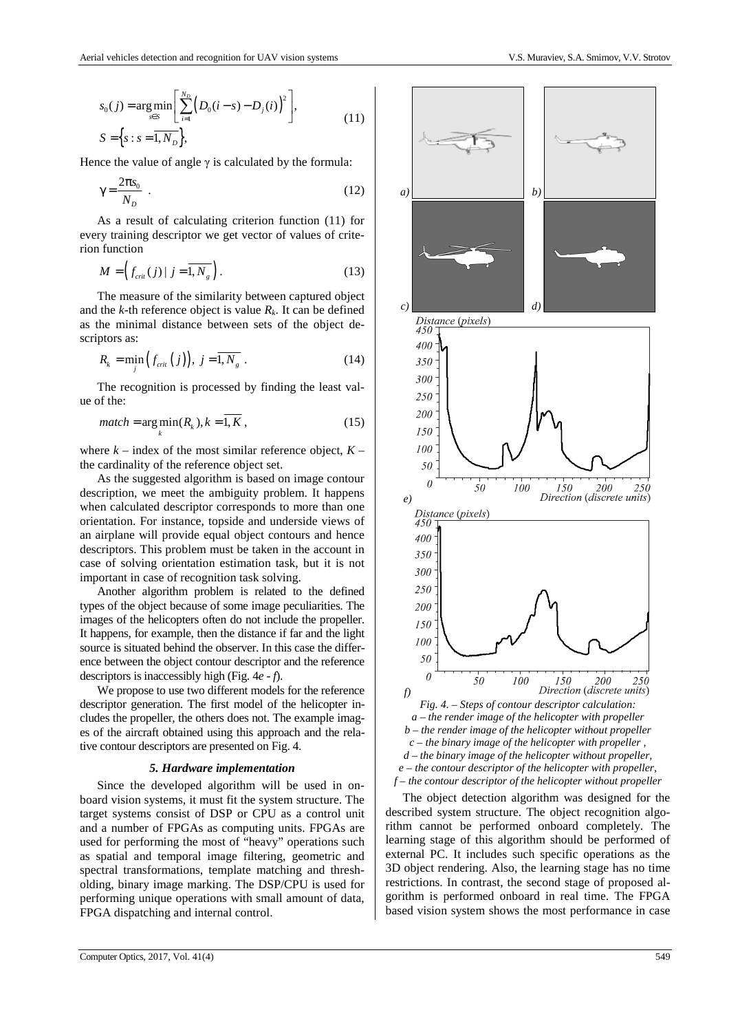Hence the value of angle  $\gamma$  is calculated by the formula:

$$
\gamma = \frac{2\pi s_0}{N_D} \tag{12}
$$

As a result of calculating criterion function (11) for every training descriptor we get vector of values of criterion function

$$
M = \left(f_{\text{crit}}(j) \mid j = \overline{1, N_g}\right). \tag{13}
$$

The measure of the similarity between captured object and the  $k$ -th reference object is value  $R_k$ . It can be defined as the minimal distance between sets of the object descriptors as:

$$
R_k = \min_j \left( f_{\text{crit}} \left( j \right) \right), \ j = \overline{1, N_g} \ . \tag{14}
$$

The recognition is processed by finding the least value of the:

$$
match = \arg\min_{k}(R_k), k = \overline{1, K},
$$
\n(15)

where  $k$  – index of the most similar reference object,  $K$  – the cardinality of the reference object set.

As the suggested algorithm is based on image contour description, we meet the ambiguity problem. It happens when calculated descriptor corresponds to more than one orientation. For instance, topside and underside views of an airplane will provide equal object contours and hence descriptors. This problem must be taken in the account in case of solving orientation estimation task, but it is not important in case of recognition task solving.

Another algorithm problem is related to the defined types of the object because of some image peculiarities. The images of the helicopters often do not include the propeller. It happens, for example, then the distance if far and the light source is situated behind the observer. In this case the difference between the object contour descriptor and the reference descriptors is inaccessibly high (Fig. 4*e* - *f*).

We propose to use two different models for the reference descriptor generation. The first model of the helicopter includes the propeller, the others does not. The example images of the aircraft obtained using this approach and the relative contour descriptors are presented on Fig. 4.

## *5. Hardware implementation*

Since the developed algorithm will be used in onboard vision systems, it must fit the system structure. The target systems consist of DSP or CPU as a control unit and a number of FPGAs as computing units. FPGAs are used for performing the most of "heavy" operations such as spatial and temporal image filtering, geometric and spectral transformations, template matching and thresholding, binary image marking. The DSP/CPU is used for performing unique operations with small amount of data, FPGA dispatching and internal control.



*e – the contour descriptor of the helicopter with propeller, f – the contour descriptor of the helicopter without propeller* 

The object detection algorithm was designed for the described system structure. The object recognition algorithm cannot be performed onboard completely. The learning stage of this algorithm should be performed of external PC. It includes such specific operations as the 3D object rendering. Also, the learning stage has no time restrictions. In contrast, the second stage of proposed algorithm is performed onboard in real time. The FPGA based vision system shows the most performance in case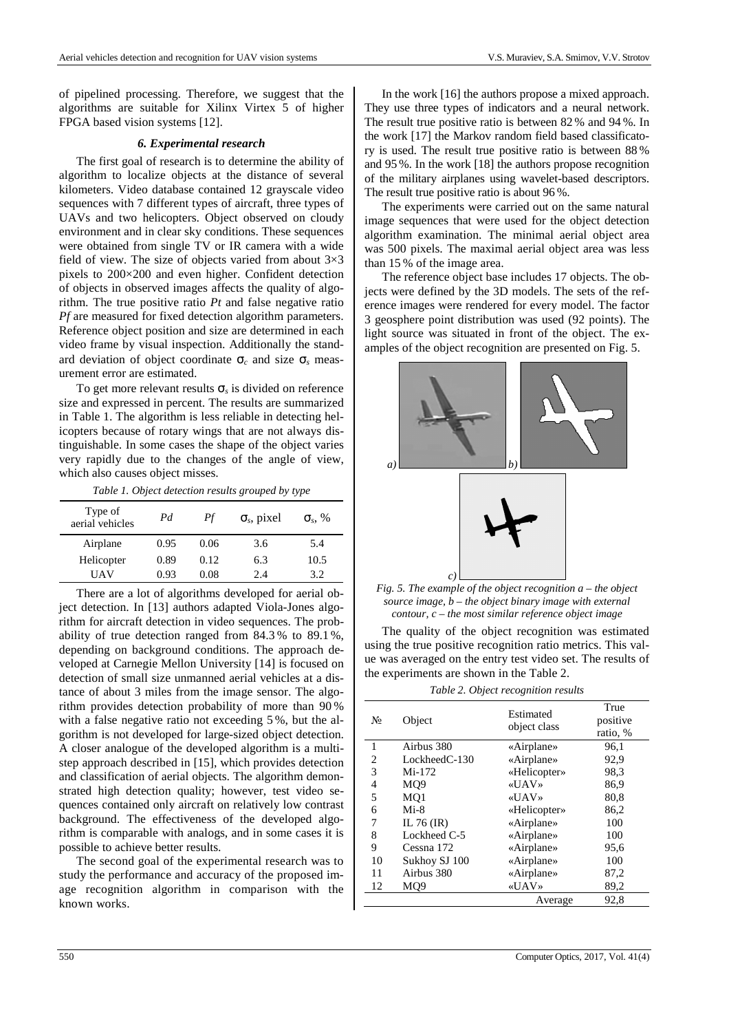of pipelined processing. Therefore, we suggest that the algorithms are suitable for Xilinx Virtex 5 of higher FPGA based vision systems [12].

### *6. Experimental research*

The first goal of research is to determine the ability of algorithm to localize objects at the distance of several kilometers. Video database contained 12 grayscale video sequences with 7 different types of aircraft, three types of UAVs and two helicopters. Object observed on cloudy environment and in clear sky conditions. These sequences were obtained from single TV or IR camera with a wide field of view. The size of objects varied from about  $3\times3$ pixels to 200×200 and even higher. Confident detection of objects in observed images affects the quality of algorithm. The true positive ratio *Pt* and false negative ratio *Pf* are measured for fixed detection algorithm parameters. Reference object position and size are determined in each video frame by visual inspection. Additionally the standard deviation of object coordinate σ*c* and size σ*s* measurement error are estimated.

To get more relevant results σ*s* is divided on reference size and expressed in percent. The results are summarized in Table 1. The algorithm is less reliable in detecting helicopters because of rotary wings that are not always distinguishable. In some cases the shape of the object varies very rapidly due to the changes of the angle of view, which also causes object misses.

*Table 1. Object detection results grouped by type* 

| Type of<br>aerial vehicles | Pd   | Pf   | $\sigma_s$ , pixel | $\sigma_s$ , % |
|----------------------------|------|------|--------------------|----------------|
| Airplane                   | 0.95 | 0.06 | 3.6                | 5.4            |
| Helicopter                 | 0.89 | 0.12 | 6.3                | 10.5           |
| UAV                        | 0.93 | 0.08 | 2.4                | 39             |

There are a lot of algorithms developed for aerial object detection. In [13] authors adapted Viola-Jones algorithm for aircraft detection in video sequences. The probability of true detection ranged from 84.3 % to 89.1 %, depending on background conditions. The approach developed at Carnegie Mellon University [14] is focused on detection of small size unmanned aerial vehicles at a distance of about 3 miles from the image sensor. The algorithm provides detection probability of more than 90 % with a false negative ratio not exceeding 5%, but the algorithm is not developed for large-sized object detection. A closer analogue of the developed algorithm is a multistep approach described in [15], which provides detection and classification of aerial objects. The algorithm demonstrated high detection quality; however, test video sequences contained only aircraft on relatively low contrast background. The effectiveness of the developed algorithm is comparable with analogs, and in some cases it is possible to achieve better results.

The second goal of the experimental research was to study the performance and accuracy of the proposed image recognition algorithm in comparison with the known works.

In the work [16] the authors propose a mixed approach. They use three types of indicators and a neural network. The result true positive ratio is between 82 % and 94 %. In the work [17] the Markov random field based classificatory is used. The result true positive ratio is between 88 % and 95 %. In the work [18] the authors propose recognition of the military airplanes using wavelet-based descriptors. The result true positive ratio is about 96 %.

The experiments were carried out on the same natural image sequences that were used for the object detection algorithm examination. The minimal aerial object area was 500 pixels. The maximal aerial object area was less than 15 % of the image area.

The reference object base includes 17 objects. The objects were defined by the 3D models. The sets of the reference images were rendered for every model. The factor 3 geosphere point distribution was used (92 points). The light source was situated in front of the object. The examples of the object recognition are presented on Fig. 5.



*Fig. 5. The example of the object recognition a – the object source image, b – the object binary image with external contour, c – the most similar reference object image* 

The quality of the object recognition was estimated using the true positive recognition ratio metrics. This value was averaged on the entry test video set. The results of the experiments are shown in the Table 2.

*Table 2. Object recognition results* 

| $N_2$        | Object           | Estimated<br>object class | True<br>positive<br>ratio, % |
|--------------|------------------|---------------------------|------------------------------|
| $\mathbf{1}$ | Airbus 380       | «Airplane»                | 96,1                         |
| 2            | Lockheed $C-130$ | «Airplane»                | 92,9                         |
| 3            | Mi-172           | «Helicopter»              | 98.3                         |
| 4            | MO <sub>9</sub>  | «UAV»                     | 86,9                         |
| 5            | MO <sub>1</sub>  | «UAV»                     | 80,8                         |
| 6            | $Mi-8$           | «Helicopter»              | 86,2                         |
| 7            | IL 76 $(IR)$     | «Airplane»                | 100                          |
| 8            | Lockheed C-5     | «Airplane»                | 100                          |
| 9            | Cessna 172       | «Airplane»                | 95,6                         |
| 10           | Sukhoy SJ 100    | «Airplane»                | 100                          |
| 11           | Airbus 380       | «Airplane»                | 87,2                         |
| 12           | MO9              | «UAV»                     | 89,2                         |
|              |                  | Average                   | 92,8                         |